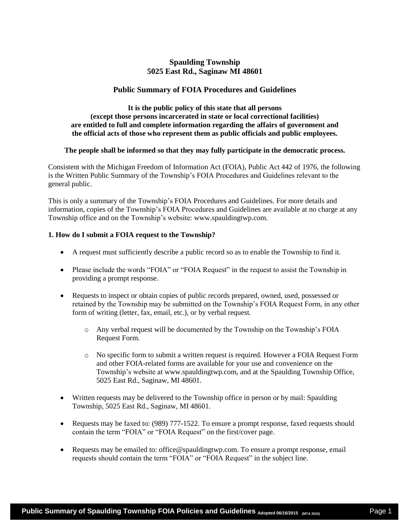# **Spaulding Township 5025 East Rd., Saginaw MI 48601**

# **Public Summary of FOIA Procedures and Guidelines**

**It is the public policy of this state that all persons (except those persons incarcerated in state or local correctional facilities) are entitled to full and complete information regarding the affairs of government and the official acts of those who represent them as public officials and public employees.** 

#### **The people shall be informed so that they may fully participate in the democratic process.**

Consistent with the Michigan Freedom of Information Act (FOIA), Public Act 442 of 1976, the following is the Written Public Summary of the Township's FOIA Procedures and Guidelines relevant to the general public.

This is only a summary of the Township's FOIA Procedures and Guidelines. For more details and information, copies of the Township's FOIA Procedures and Guidelines are available at no charge at any Township office and on the Township's website: www.spauldingtwp.com.

### **1. How do I submit a FOIA request to the Township?**

- A request must sufficiently describe a public record so as to enable the Township to find it.
- Please include the words "FOIA" or "FOIA Request" in the request to assist the Township in providing a prompt response.
- Requests to inspect or obtain copies of public records prepared, owned, used, possessed or retained by the Township may be submitted on the Township's FOIA Request Form, in any other form of writing (letter, fax, email, etc.), or by verbal request.
	- o Any verbal request will be documented by the Township on the Township's FOIA Request Form.
	- o No specific form to submit a written request is required. However a FOIA Request Form and other FOIA-related forms are available for your use and convenience on the Township's website at www.spauldingtwp.com, and at the Spaulding Township Office, 5025 East Rd., Saginaw, MI 48601.
- Written requests may be delivered to the Township office in person or by mail: Spaulding Township, 5025 East Rd., Saginaw, MI 48601.
- Requests may be faxed to: (989) 777-1522. To ensure a prompt response, faxed requests should contain the term "FOIA" or "FOIA Request" on the first/cover page.
- Requests may be emailed to: office@spauldingtwp.com. To ensure a prompt response, email requests should contain the term "FOIA" or "FOIA Request" in the subject line.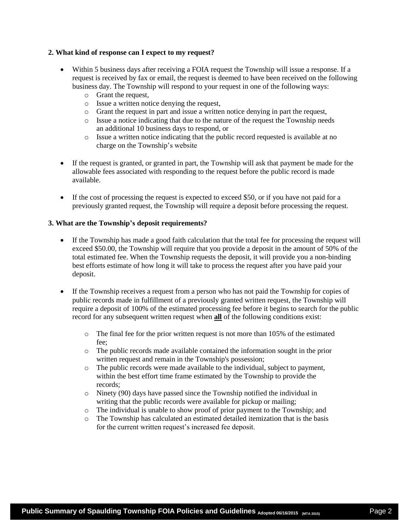### **2. What kind of response can I expect to my request?**

- Within 5 business days after receiving a FOIA request the Township will issue a response. If a request is received by fax or email, the request is deemed to have been received on the following business day. The Township will respond to your request in one of the following ways:
	- o Grant the request,
	- o Issue a written notice denying the request,
	- o Grant the request in part and issue a written notice denying in part the request,
	- o Issue a notice indicating that due to the nature of the request the Township needs an additional 10 business days to respond, or
	- o Issue a written notice indicating that the public record requested is available at no charge on the Township's website
- If the request is granted, or granted in part, the Township will ask that payment be made for the allowable fees associated with responding to the request before the public record is made available.
- If the cost of processing the request is expected to exceed \$50, or if you have not paid for a previously granted request, the Township will require a deposit before processing the request.

### **3. What are the Township's deposit requirements?**

- If the Township has made a good faith calculation that the total fee for processing the request will exceed \$50.00, the Township will require that you provide a deposit in the amount of 50% of the total estimated fee. When the Township requests the deposit, it will provide you a non-binding best efforts estimate of how long it will take to process the request after you have paid your deposit.
- If the Township receives a request from a person who has not paid the Township for copies of public records made in fulfillment of a previously granted written request, the Township will require a deposit of 100% of the estimated processing fee before it begins to search for the public record for any subsequent written request when **all** of the following conditions exist:
	- $\circ$  The final fee for the prior written request is not more than 105% of the estimated fee;
	- o The public records made available contained the information sought in the prior written request and remain in the Township's possession;
	- o The public records were made available to the individual, subject to payment, within the best effort time frame estimated by the Township to provide the records;
	- o Ninety (90) days have passed since the Township notified the individual in writing that the public records were available for pickup or mailing;
	- o The individual is unable to show proof of prior payment to the Township; and
	- o The Township has calculated an estimated detailed itemization that is the basis for the current written request's increased fee deposit.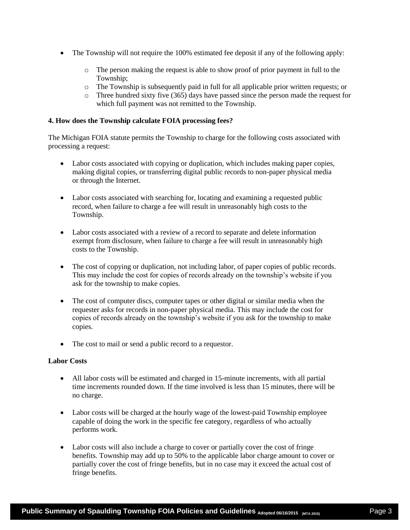- The Township will not require the 100% estimated fee deposit if any of the following apply:
	- o The person making the request is able to show proof of prior payment in full to the Township;
	- o The Township is subsequently paid in full for all applicable prior written requests; or
	- o Three hundred sixty five (365) days have passed since the person made the request for which full payment was not remitted to the Township.

## **4. How does the Township calculate FOIA processing fees?**

The Michigan FOIA statute permits the Township to charge for the following costs associated with processing a request:

- Labor costs associated with copying or duplication, which includes making paper copies, making digital copies, or transferring digital public records to non-paper physical media or through the Internet.
- Labor costs associated with searching for, locating and examining a requested public record, when failure to charge a fee will result in unreasonably high costs to the Township.
- Labor costs associated with a review of a record to separate and delete information exempt from disclosure, when failure to charge a fee will result in unreasonably high costs to the Township.
- The cost of copying or duplication, not including labor, of paper copies of public records. This may include the cost for copies of records already on the township's website if you ask for the township to make copies.
- The cost of computer discs, computer tapes or other digital or similar media when the requester asks for records in non-paper physical media. This may include the cost for copies of records already on the township's website if you ask for the township to make copies.
- The cost to mail or send a public record to a requestor.

## **Labor Costs**

- All labor costs will be estimated and charged in 15-minute increments, with all partial time increments rounded down. If the time involved is less than 15 minutes, there will be no charge.
- Labor costs will be charged at the hourly wage of the lowest-paid Township employee capable of doing the work in the specific fee category, regardless of who actually performs work.
- Labor costs will also include a charge to cover or partially cover the cost of fringe benefits. Township may add up to 50% to the applicable labor charge amount to cover or partially cover the cost of fringe benefits, but in no case may it exceed the actual cost of fringe benefits.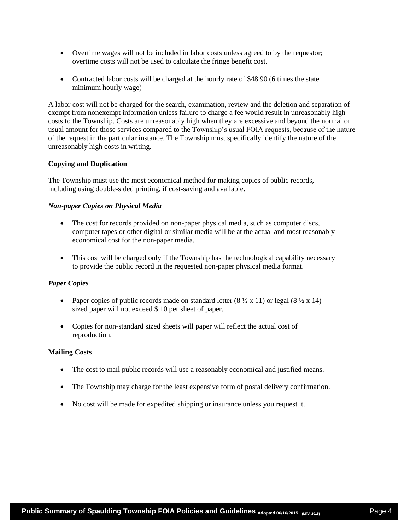- Overtime wages will not be included in labor costs unless agreed to by the requestor; overtime costs will not be used to calculate the fringe benefit cost.
- Contracted labor costs will be charged at the hourly rate of \$48.90 (6 times the state minimum hourly wage)

A labor cost will not be charged for the search, examination, review and the deletion and separation of exempt from nonexempt information unless failure to charge a fee would result in unreasonably high costs to the Township. Costs are unreasonably high when they are excessive and beyond the normal or usual amount for those services compared to the Township's usual FOIA requests, because of the nature of the request in the particular instance. The Township must specifically identify the nature of the unreasonably high costs in writing.

# **Copying and Duplication**

The Township must use the most economical method for making copies of public records, including using double-sided printing, if cost-saving and available.

# *Non-paper Copies on Physical Media*

- The cost for records provided on non-paper physical media, such as computer discs, computer tapes or other digital or similar media will be at the actual and most reasonably economical cost for the non-paper media.
- This cost will be charged only if the Township has the technological capability necessary to provide the public record in the requested non-paper physical media format.

## *Paper Copies*

- Paper copies of public records made on standard letter  $(8 \frac{1}{2} \times 11)$  or legal  $(8 \frac{1}{2} \times 14)$ sized paper will not exceed \$.10 per sheet of paper.
- Copies for non-standard sized sheets will paper will reflect the actual cost of reproduction.

## **Mailing Costs**

- The cost to mail public records will use a reasonably economical and justified means.
- The Township may charge for the least expensive form of postal delivery confirmation.
- No cost will be made for expedited shipping or insurance unless you request it.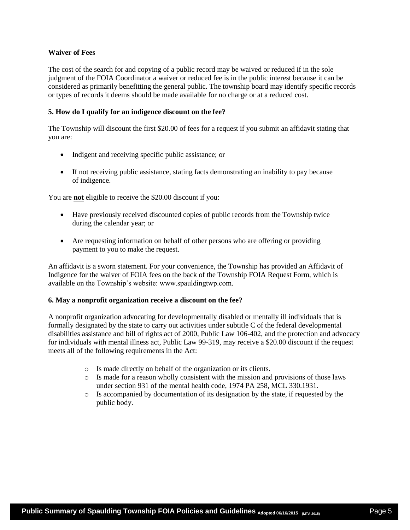# **Waiver of Fees**

The cost of the search for and copying of a public record may be waived or reduced if in the sole judgment of the FOIA Coordinator a waiver or reduced fee is in the public interest because it can be considered as primarily benefitting the general public. The township board may identify specific records or types of records it deems should be made available for no charge or at a reduced cost.

# **5. How do I qualify for an indigence discount on the fee?**

The Township will discount the first \$20.00 of fees for a request if you submit an affidavit stating that you are:

- Indigent and receiving specific public assistance; or
- If not receiving public assistance, stating facts demonstrating an inability to pay because of indigence.

You are **not** eligible to receive the \$20.00 discount if you:

- Have previously received discounted copies of public records from the Township twice during the calendar year; or
- Are requesting information on behalf of other persons who are offering or providing payment to you to make the request.

An affidavit is a sworn statement. For your convenience, the Township has provided an Affidavit of Indigence for the waiver of FOIA fees on the back of the Township FOIA Request Form, which is available on the Township's website: www.spauldingtwp.com.

## **6. May a nonprofit organization receive a discount on the fee?**

A nonprofit organization advocating for developmentally disabled or mentally ill individuals that is formally designated by the state to carry out activities under subtitle C of the federal developmental disabilities assistance and bill of rights act of 2000, Public Law 106-402, and the protection and advocacy for individuals with mental illness act, Public Law 99-319, may receive a \$20.00 discount if the request meets all of the following requirements in the Act:

- o Is made directly on behalf of the organization or its clients.
- o Is made for a reason wholly consistent with the mission and provisions of those laws under section 931 of the mental health code, 1974 PA 258, MCL 330.1931.
- o Is accompanied by documentation of its designation by the state, if requested by the public body.